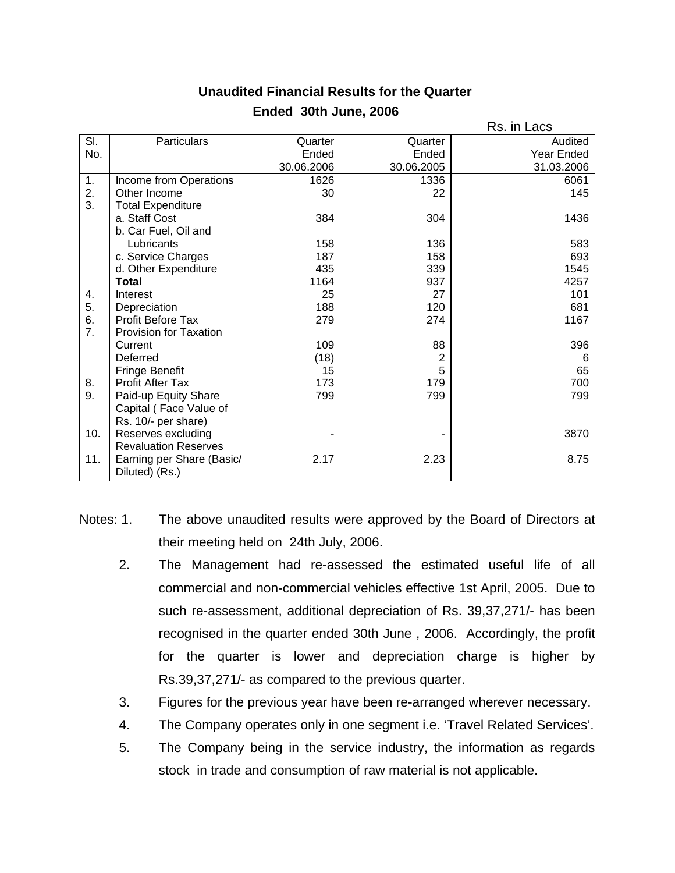|     |                             |            |                | Rs. in Lacs |
|-----|-----------------------------|------------|----------------|-------------|
| SI. | <b>Particulars</b>          | Quarter    | Quarter        | Audited     |
| No. |                             | Ended      | Ended          | Year Ended  |
|     |                             | 30.06.2006 | 30.06.2005     | 31.03.2006  |
| 1.  | Income from Operations      | 1626       | 1336           | 6061        |
| 2.  | Other Income                | 30         | 22             | 145         |
| 3.  | <b>Total Expenditure</b>    |            |                |             |
|     | a. Staff Cost               | 384        | 304            | 1436        |
|     | b. Car Fuel, Oil and        |            |                |             |
|     | Lubricants                  | 158        | 136            | 583         |
|     | c. Service Charges          | 187        | 158            | 693         |
|     | d. Other Expenditure        | 435        | 339            | 1545        |
|     | <b>Total</b>                | 1164       | 937            | 4257        |
| 4.  | Interest                    | 25         | 27             | 101         |
| 5.  | Depreciation                | 188        | 120            | 681         |
| 6.  | <b>Profit Before Tax</b>    | 279        | 274            | 1167        |
| 7.  | Provision for Taxation      |            |                |             |
|     | Current                     | 109        | 88             | 396         |
|     | Deferred                    | (18)       | $\overline{c}$ | 6           |
|     | Fringe Benefit              | 15         | 5              | 65          |
| 8.  | <b>Profit After Tax</b>     | 173        | 179            | 700         |
| 9.  | Paid-up Equity Share        | 799        | 799            | 799         |
|     | Capital (Face Value of      |            |                |             |
|     | Rs. 10/- per share)         |            |                |             |
| 10. | Reserves excluding          |            |                | 3870        |
|     | <b>Revaluation Reserves</b> |            |                |             |
| 11. | Earning per Share (Basic/   | 2.17       | 2.23           | 8.75        |
|     | Diluted) (Rs.)              |            |                |             |

## **Unaudited Financial Results for the Quarter Ended 30th June, 2006**

- Notes: 1. The above unaudited results were approved by the Board of Directors at their meeting held on 24th July, 2006.
	- 2. The Management had re-assessed the estimated useful life of all commercial and non-commercial vehicles effective 1st April, 2005. Due to such re-assessment, additional depreciation of Rs. 39,37,271/- has been recognised in the quarter ended 30th June , 2006. Accordingly, the profit for the quarter is lower and depreciation charge is higher by Rs.39,37,271/- as compared to the previous quarter.
	- 3. Figures for the previous year have been re-arranged wherever necessary.
	- 4. The Company operates only in one segment i.e. 'Travel Related Services'.
	- 5. The Company being in the service industry, the information as regards stock in trade and consumption of raw material is not applicable.